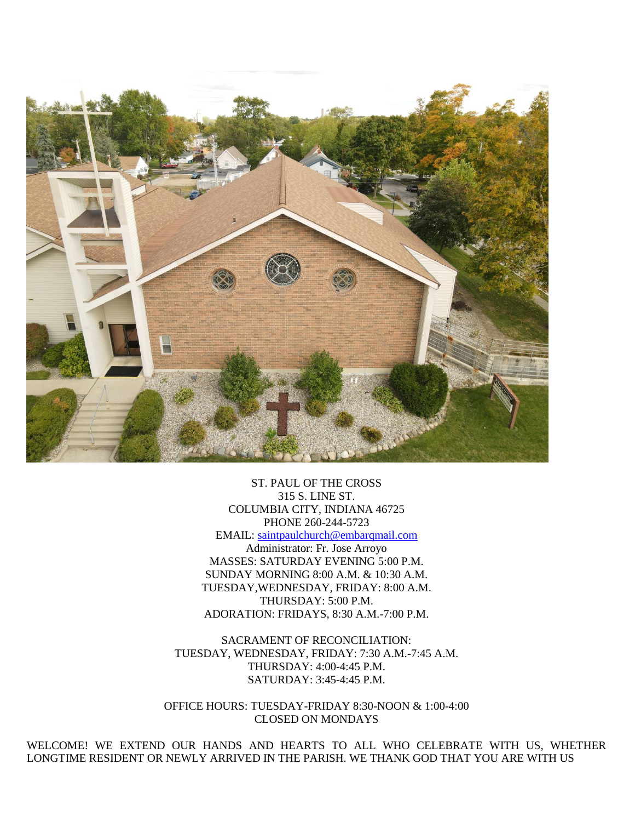

ST. PAUL OF THE CROSS 315 S. LINE ST. COLUMBIA CITY, INDIANA 46725 PHONE 260-244-5723 EMAIL: [saintpaulchurch@embarqmail.com](mailto:saintpaulchurch@embarqmail.com) Administrator: Fr. Jose Arroyo MASSES: SATURDAY EVENING 5:00 P.M. SUNDAY MORNING 8:00 A.M. & 10:30 A.M. TUESDAY,WEDNESDAY, FRIDAY: 8:00 A.M. THURSDAY: 5:00 P.M. ADORATION: FRIDAYS, 8:30 A.M.-7:00 P.M.

SACRAMENT OF RECONCILIATION: TUESDAY, WEDNESDAY, FRIDAY: 7:30 A.M.-7:45 A.M. THURSDAY: 4:00-4:45 P.M. SATURDAY: 3:45-4:45 P.M.

OFFICE HOURS: TUESDAY-FRIDAY 8:30-NOON & 1:00-4:00 CLOSED ON MONDAYS

WELCOME! WE EXTEND OUR HANDS AND HEARTS TO ALL WHO CELEBRATE WITH US, WHETHER LONGTIME RESIDENT OR NEWLY ARRIVED IN THE PARISH. WE THANK GOD THAT YOU ARE WITH US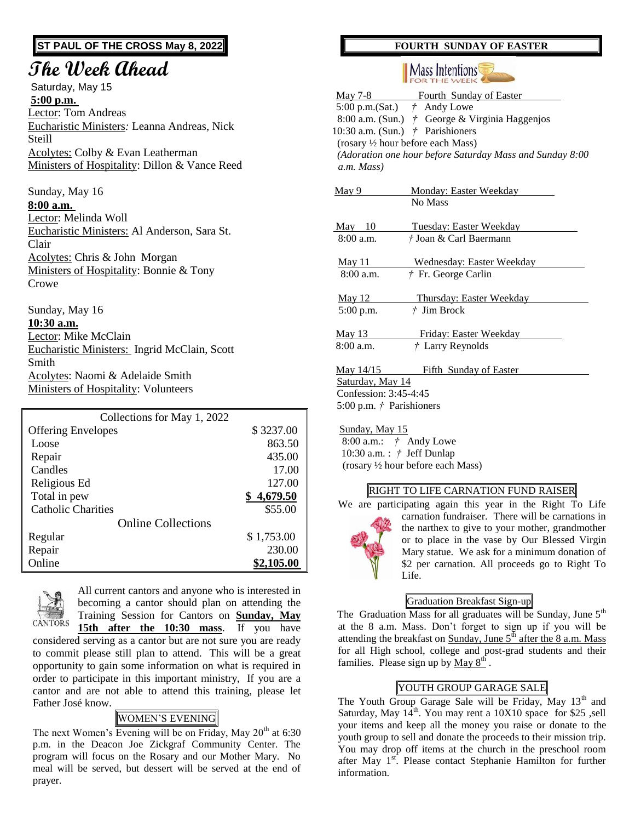# **ST PAUL OF THE CROSS May 8, 2022**

# **The Week Ahead**

Saturday, May 15 **5:00 p.m.** Lector: Tom Andreas Eucharistic Ministers*:* Leanna Andreas, Nick Steill Acolytes: Colby & Evan Leatherman Ministers of Hospitality: Dillon & Vance Reed

Sunday, May 16 **8:00 a.m.**  Lector: Melinda Woll Eucharistic Ministers: Al Anderson, Sara St. Clair Acolytes: Chris & John Morgan Ministers of Hospitality: Bonnie & Tony Crowe

Sunday, May 16 **10:30 a.m.** Lector: Mike McClain Eucharistic Ministers: Ingrid McClain, Scott Smith Acolytes: Naomi & Adelaide Smith Ministers of Hospitality: Volunteers

| Collections for May 1, 2022 |            |
|-----------------------------|------------|
| <b>Offering Envelopes</b>   | \$3237.00  |
| Loose                       | 863.50     |
| Repair                      | 435.00     |
| Candles                     | 17.00      |
| Religious Ed                | 127.00     |
| Total in pew                | \$4,679.50 |
| <b>Catholic Charities</b>   | \$55.00    |
| <b>Online Collections</b>   |            |
| Regular                     | \$1,753.00 |
| Repair                      | 230.00     |
| Online                      | \$2,105.00 |



All current cantors and anyone who is interested in becoming a cantor should plan on attending the Training Session for Cantors on **Sunday, May** 

**15th after the 10:30 mass**. If you have considered serving as a cantor but are not sure you are ready to commit please still plan to attend. This will be a great opportunity to gain some information on what is required in order to participate in this important ministry, If you are a cantor and are not able to attend this training, please let Father José know.

# WOMEN'S EVENING

The next Women's Evening will be on Friday, May  $20<sup>th</sup>$  at 6:30 p.m. in the Deacon Joe Zickgraf Community Center. The program will focus on the Rosary and our Mother Mary. No meal will be served, but dessert will be served at the end of prayer.

### **FOURTH SUNDAY OF EASTER**

#### Mass Intentions **FOR THE WEEK**

|                                                          | May 7-8 Fourth Sunday of Easter                          |  |
|----------------------------------------------------------|----------------------------------------------------------|--|
| 5:00 p.m.(Sat.) $\dot{\tau}$ Andy Lowe                   |                                                          |  |
|                                                          | 8:00 a.m. (Sun.) / George & Virginia Haggenjos           |  |
| 10:30 a.m. (Sun.) $\dot{\tau}$ Parishioners              |                                                          |  |
| (rosary 1/2 hour before each Mass)                       |                                                          |  |
| (Adoration one hour before Saturday Mass and Sunday 8:00 |                                                          |  |
| a.m. Mass)                                               |                                                          |  |
|                                                          |                                                          |  |
| May 9                                                    | <b>Monday: Easter Weekday</b>                            |  |
|                                                          | No Mass                                                  |  |
| May 10                                                   |                                                          |  |
| $8:00$ a.m.                                              | <b>Tuesday: Easter Weekday</b><br>† Joan & Carl Baermann |  |
|                                                          |                                                          |  |
| <u>May 11</u>                                            | Wednesday: Easter Weekday                                |  |
| $8:00$ a.m.                                              | † Fr. George Carlin                                      |  |
|                                                          |                                                          |  |
| <b>May 12</b>                                            | Thursday: Easter Weekday                                 |  |
| $5:00$ p.m.                                              | $†$ Jim Brock                                            |  |
|                                                          |                                                          |  |
| <b>May 13</b>                                            | <u>Friday: Easter Weekday</u>                            |  |
| $8:00$ a.m.                                              | † Larry Reynolds                                         |  |
| <u>May 14/15</u>                                         | <b>Fifth Sunday of Easter</b>                            |  |
| Saturday, May 14                                         |                                                          |  |
| Confession: 3:45-4:45                                    |                                                          |  |
| 5:00 p.m. $\dot{\tau}$ Parishioners                      |                                                          |  |
|                                                          |                                                          |  |

 Sunday, May 15 8:00 a.m.: *†* Andy Lowe 10:30 a.m. : *†* Jeff Dunlap (rosary ½ hour before each Mass)

# **RIGHT TO LIFE CARNATION FUND RAISER**



We are participating again this year in the Right To Life carnation fundraiser. There will be carnations in the narthex to give to your mother, grandmother or to place in the vase by Our Blessed Virgin Mary statue. We ask for a minimum donation of \$2 per carnation. All proceeds go to Right To Life.

# Graduation Breakfast Sign-up

The Graduation Mass for all graduates will be Sunday, June  $5<sup>th</sup>$ at the 8 a.m. Mass. Don't forget to sign up if you will be attending the breakfast on Sunday, June  $5<sup>th</sup>$  after the 8 a.m. Mass for all High school, college and post-grad students and their families. Please sign up by  $\frac{\text{May } 8^{\text{th}}}{\text{May } 8^{\text{th}}}$ .

# YOUTH GROUP GARAGE SALE

The Youth Group Garage Sale will be Friday, May 13<sup>th</sup> and Saturday, May  $14<sup>th</sup>$ . You may rent a 10X10 space for \$25, sell your items and keep all the money you raise or donate to the youth group to sell and donate the proceeds to their mission trip. You may drop off items at the church in the preschool room after May 1<sup>st</sup>. Please contact Stephanie Hamilton for further information.